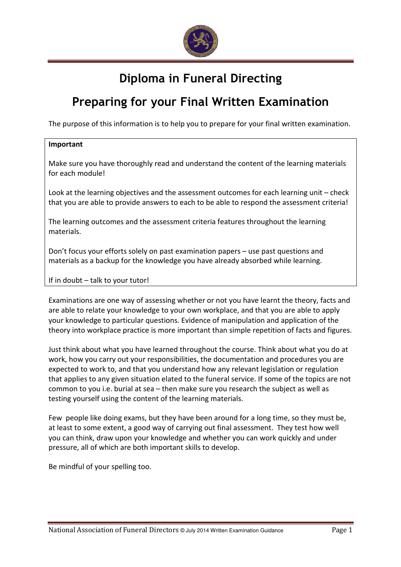

# Diploma in Funeral Directing

## Preparing for your Final Written Examination

The purpose of this information is to help you to prepare for your final written examination.

#### Important

Make sure you have thoroughly read and understand the content of the learning materials for each module!

Look at the learning objectives and the assessment outcomes for each learning unit – check that you are able to provide answers to each to be able to respond the assessment criteria!

The learning outcomes and the assessment criteria features throughout the learning materials.

Don't focus your efforts solely on past examination papers – use past questions and materials as a backup for the knowledge you have already absorbed while learning.

If in doubt – talk to your tutor!

Examinations are one way of assessing whether or not you have learnt the theory, facts and are able to relate your knowledge to your own workplace, and that you are able to apply your knowledge to particular questions. Evidence of manipulation and application of the theory into workplace practice is more important than simple repetition of facts and figures.

Just think about what you have learned throughout the course. Think about what you do at work, how you carry out your responsibilities, the documentation and procedures you are expected to work to, and that you understand how any relevant legislation or regulation that applies to any given situation elated to the funeral service. If some of the topics are not common to you i.e. burial at sea – then make sure you research the subject as well as testing yourself using the content of the learning materials.

Few people like doing exams, but they have been around for a long time, so they must be, at least to some extent, a good way of carrying out final assessment. They test how well you can think, draw upon your knowledge and whether you can work quickly and under pressure, all of which are both important skills to develop.

Be mindful of your spelling too.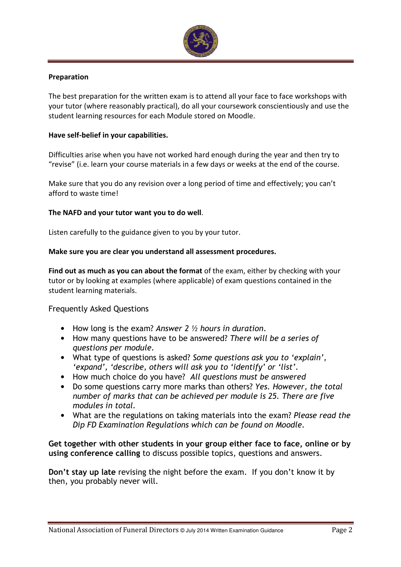

#### Preparation

The best preparation for the written exam is to attend all your face to face workshops with your tutor (where reasonably practical), do all your coursework conscientiously and use the student learning resources for each Module stored on Moodle.

#### Have self-belief in your capabilities.

Difficulties arise when you have not worked hard enough during the year and then try to "revise" (i.e. learn your course materials in a few days or weeks at the end of the course.

Make sure that you do any revision over a long period of time and effectively; you can't afford to waste time!

#### The NAFD and your tutor want you to do well.

Listen carefully to the guidance given to you by your tutor.

#### Make sure you are clear you understand all assessment procedures.

Find out as much as you can about the format of the exam, either by checking with your tutor or by looking at examples (where applicable) of exam questions contained in the student learning materials.

#### Frequently Asked Questions

- How long is the exam? Answer 2 1/2 hours in duration.
- How many questions have to be answered? There will be a series of questions per module.
- What type of questions is asked? Some questions ask you to 'explain', 'expand', 'describe, others will ask you to 'identify' or 'list'.
- How much choice do you have? All questions must be answered
- Do some questions carry more marks than others? Yes. However, the total number of marks that can be achieved per module is 25. There are five modules in total.
- What are the regulations on taking materials into the exam? Please read the Dip FD Examination Regulations which can be found on Moodle.

#### Get together with other students in your group either face to face, online or by using conference calling to discuss possible topics, questions and answers.

Don't stay up late revising the night before the exam. If you don't know it by then, you probably never will.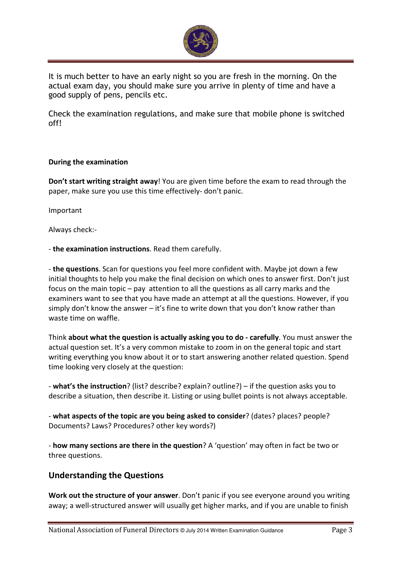

It is much better to have an early night so you are fresh in the morning. On the actual exam day, you should make sure you arrive in plenty of time and have a good supply of pens, pencils etc.

Check the examination regulations, and make sure that mobile phone is switched off!

#### During the examination

Don't start writing straight away! You are given time before the exam to read through the paper, make sure you use this time effectively- don't panic.

Important

Always check:-

- the examination instructions. Read them carefully.

- the questions. Scan for questions you feel more confident with. Maybe jot down a few initial thoughts to help you make the final decision on which ones to answer first. Don't just focus on the main topic – pay attention to all the questions as all carry marks and the examiners want to see that you have made an attempt at all the questions. However, if you simply don't know the answer – it's fine to write down that you don't know rather than waste time on waffle.

Think about what the question is actually asking you to do - carefully. You must answer the actual question set. It's a very common mistake to zoom in on the general topic and start writing everything you know about it or to start answering another related question. Spend time looking very closely at the question:

- what's the instruction? (list? describe? explain? outline?) – if the question asks you to describe a situation, then describe it. Listing or using bullet points is not always acceptable.

- what aspects of the topic are you being asked to consider? (dates? places? people? Documents? Laws? Procedures? other key words?)

- how many sections are there in the question? A 'question' may often in fact be two or three questions.

### Understanding the Questions

Work out the structure of your answer. Don't panic if you see everyone around you writing away; a well-structured answer will usually get higher marks, and if you are unable to finish